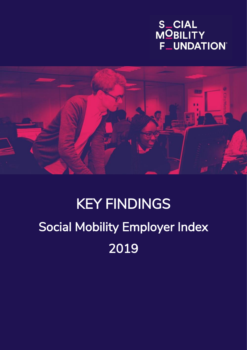# S\_CIAL<br>MOBILITY **F\_UNDATION®**



# KEY FINDINGS Social Mobility Employer Index 2019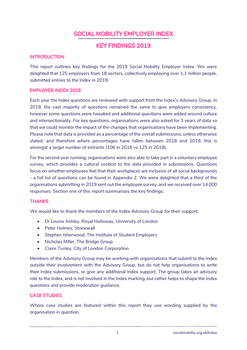# SOCIAL MOBILITY EMPLOYER INDEX

### KEY FINDINGS 2019

#### **INTRODUCTION**

This report outlines key findings for the 2019 Social Mobility Employer Index. We were delighted that 125 employers from 18 sectors, collectively employing over 1.1 million people, submitted entries to the Index in 2019.

#### EMPLOYER INDEX 2019

Each year the Index questions are reviewed with support from the Index's Advisory Group. In 2019, the vast majority of questions remained the same to give employers consistency, however some questions were tweaked and additional questions were added around culture and intersectionality. For key questions, organisations were also asked for 3 years of data so that we could monitor the impact of the changes that organisations have been implementing. Please note that data is provided as a percentage of the overall submissions, unless otherwise stated, and therefore where percentages have fallen between 2018 and 2019, this is amongst a larger number of entrants (106 in 2018 vs 125 in 2019).

For the second year running, organisations were also able to take part in a voluntary employee survey, which provides a cultural context to the data provided in submissions. Questions focus on whether employees feel that their workplaces are inclusive of all social backgrounds - a full list of questions can be found in Appendix 2. We were delighted that a third of the organisations submitting in 2019 sent out the employee survey, and we received over 14,000 responses. Section one of this report summarises the key findings.

#### **THANKS**

We would like to thank the members of the Index Advisory Group for their support:

- Dr Louise Ashley, Royal Holloway, University of London
- Peter Holmes, Stonewall
- Stephen Isherwood, The Institute of Student Employers
- Nicholas Miller, The Bridge Group
- Claire Tunley, City of London Corporation

Members of the Advisory Group may be working with organisations that submit to the Index outside their involvement with the Advisory Group, but do not help organisations to write their Index submissions, or give any additional Index support. The group takes an advisory role to the Index, and is not involved in the Index marking, but rather helps to shape the Index questions and provide moderation guidance.

#### CASE STUDIES

Where case studies are featured within this report they use wording supplied by the organisation in question.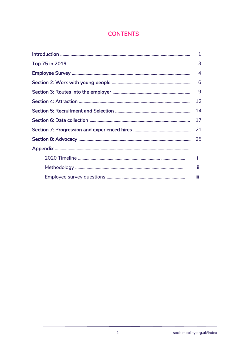# **CONTENTS**

|    | $\mathbf{1}$ |  |  |  |
|----|--------------|--|--|--|
|    |              |  |  |  |
|    |              |  |  |  |
|    |              |  |  |  |
| 9  |              |  |  |  |
| 12 |              |  |  |  |
|    |              |  |  |  |
|    |              |  |  |  |
|    |              |  |  |  |
|    |              |  |  |  |
|    |              |  |  |  |
|    | î.           |  |  |  |
|    | ш            |  |  |  |
|    | iii          |  |  |  |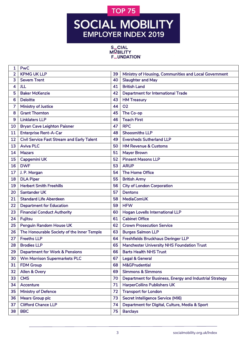# **TOP 75**

# SOCIAL MOBILITY **EMPLOYER INDEX 2019**

S\_CIAL<br>MQBILITY **F\_UNDATION®** 

| 1              | <b>PwC</b>                                        |    |                                                         |
|----------------|---------------------------------------------------|----|---------------------------------------------------------|
| $\overline{2}$ | <b>KPMG UK LLP</b>                                | 39 | Ministry of Housing, Communities and Local Government   |
| 3              | <b>Severn Trent</b>                               | 40 | <b>Slaughter and May</b>                                |
| 4              | JLL                                               | 41 | <b>British Land</b>                                     |
| 5              | <b>Baker McKenzie</b>                             | 42 | <b>Department for International Trade</b>               |
| 6              | <b>Deloitte</b>                                   | 43 | <b>HM Treasury</b>                                      |
| 7              | <b>Ministry of Justice</b>                        | 44 | <b>O2</b>                                               |
| 8              | <b>Grant Thornton</b>                             | 45 | The Co-op                                               |
| 9              | <b>Linklaters LLP</b>                             | 46 | <b>Teach First</b>                                      |
| 10             | <b>Bryan Cave Leighton Paisner</b>                | 47 | <b>RPC</b>                                              |
| 11             | <b>Enterprise Rent-A-Car</b>                      | 48 | <b>Shoosmiths LLP</b>                                   |
| 12             | <b>Civil Service Fast Stream and Early Talent</b> | 49 | <b>Eversheds Sutherland LLP</b>                         |
| 13             | <b>Aviva PLC</b>                                  | 50 | <b>HM Revenue &amp; Customs</b>                         |
| 14             | <b>Mazars</b>                                     | 51 | <b>Mayer Brown</b>                                      |
| 15             | Capgemini UK                                      | 52 | <b>Pinsent Masons LLP</b>                               |
| 16             | <b>DWF</b>                                        | 53 | <b>ARUP</b>                                             |
| 17             | J. P. Morgan                                      | 54 | The Home Office                                         |
| 18             | <b>DLA Piper</b>                                  | 55 | <b>British Army</b>                                     |
| 19             | <b>Herbert Smith Freehills</b>                    | 56 | <b>City of London Corporation</b>                       |
| 20             | <b>Santander UK</b>                               | 57 | <b>Dentons</b>                                          |
| 21             | <b>Standard Life Aberdeen</b>                     | 58 | <b>MediaComUK</b>                                       |
| 22             | <b>Department for Education</b>                   | 59 | <b>HFW</b>                                              |
| 23             | <b>Financial Conduct Authority</b>                | 60 | Hogan Lovells International LLP                         |
| 24             | <b>Fujitsu</b>                                    | 61 | <b>Cabinet Office</b>                                   |
| 25             | Penguin Random House UK                           | 62 | <b>Crown Prosecution Service</b>                        |
| 26             | The Honourable Society of the Inner Temple        | 63 | <b>Burges Salmon LLP</b>                                |
| 27             | <b>Freeths LLP</b>                                | 64 | Freshfields Bruckhaus Deringer LLP                      |
| 28             | <b>Brodies LLP</b>                                | 65 | <b>Manchester University NHS Foundation Trust</b>       |
| 29             | <b>Department for Work &amp; Pensions</b>         | 66 | <b>Barts Health NHS Trust</b>                           |
| 30             | <b>Wm Morrison Supermarkets PLC</b>               | 67 | <b>Legal &amp; General</b>                              |
| 31             | <b>FDM Group</b>                                  | 68 | M&GPrudential                                           |
| 32             | Allen & Overy                                     | 69 | <b>Simmons &amp; Simmons</b>                            |
| 33             | <b>CMS</b>                                        | 70 | Department for Business, Energy and Industrial Strategy |
| 34             | Accenture                                         | 71 | <b>HarperCollins Publishers UK</b>                      |
| 35             | <b>Ministry of Defence</b>                        | 72 | <b>Transport for London</b>                             |
| 36             | <b>Mears Group plc</b>                            | 73 | <b>Secret Intelligence Service (MI6)</b>                |
| 37             | <b>Clifford Chance LLP</b>                        | 74 | Department for Digital, Culture, Media & Sport          |
| 38             | <b>BBC</b>                                        | 75 | <b>Barclays</b>                                         |
|                |                                                   |    |                                                         |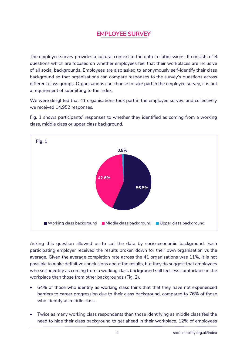# EMPLOYEE SURVEY

The employee survey provides a cultural context to the data in submissions. It consists of 8 questions which are focused on whether employees feel that their workplaces are inclusive of all social backgrounds. Employees are also asked to anonymously self-identify their class background so that organisations can compare responses to the survey's questions across different class groups. Organisations can choose to take part in the employee survey, it is not a requirement of submitting to the Index.

We were delighted that 41 organisations took part in the employee survey, and collectively we received 14,952 responses.

Fig. 1 shows participants' responses to whether they identified as coming from a working class, middle class or upper class background.



Asking this question allowed us to cut the data by socio-economic background. Each participating employer received the results broken down for their own organisation vs the average. Given the average completion rate across the 41 organisations was 11%, it is not possible to make definitive conclusions about the results, but they do suggest that employees who self-identify as coming from a working class background still feel less comfortable in the workplace than those from other backgrounds (Fig. 2).

- 64% of those who identify as working class think that that they have not experienced barriers to career progression due to their class background, compared to 76% of those who identify as middle class.
- Twice as many working class respondents than those identifying as middle class feel the need to hide their class background to get ahead in their workplace. 12% of employees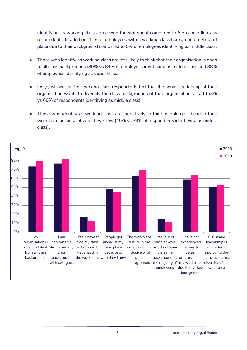identifying as working class agree with the statement compared to 6% of middle class respondents. In addition, 11% of employees with a working class background feel out of place due to their background compared to 5% of employees identifying as middle class.

- Those who identify as working class are less likely to think that their organisation is open to all class backgrounds (80% vs 84% of employees identifying as middle class and 88% of employees identifying as upper class.
- Only just over half of working class respondents feel that the senior leadership of their organisation wants to diversify the class backgrounds of their organisation's staff (53% vs 60% of respondents identifying as middle class).
- Those who identify as working class are more likely to think people get ahead in their workplace because of who they know (45% vs 39% of respondents identifying as middle class).

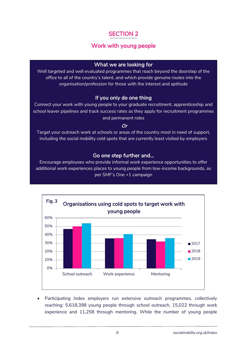# Work with young people

#### What we are looking for

Well targeted and well evaluated programmes that reach beyond the doorstep of the office to all of the country's talent, and which provide genuine routes into the organisation/profession for those with the interest and aptitude

#### If you only do one thing

Connect your work with young people to your graduate recruitment, apprenticeship and school leaver pipelines and track success rates as they apply for recruitment programmes and permanent roles

#### Or

Target your outreach work at schools or areas of the country most in need of support, including the social mobility cold spots that are currently least visited by employers

#### Go one step further and…

Encourage employees who provide informal work experience opportunities to offer additional work experiences places to young people from low-income backgrounds, as per SMF's One +1 campaign



• Participating Index employers run extensive outreach programmes, collectively reaching: 5,618,398 young people through school outreach, 15,022 through work experience and 11,258 through mentoring. While the number of young people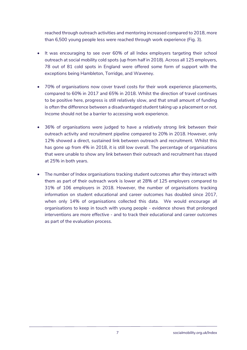reached through outreach activities and mentoring increased compared to 2018, more than 6,500 young people less were reached through work experience (Fig. 3).

- It was encouraging to see over 60% of all Index employers targeting their school outreach at social mobility cold spots (up from half in 2018). Across all 125 employers, 78 out of 81 cold spots in England were offered some form of support with the exceptions being Hambleton, Torridge, and Waveney.
- 70% of organisations now cover travel costs for their work experience placements, compared to 60% in 2017 and 65% in 2018. Whilst the direction of travel continues to be positive here, progress is still relatively slow, and that small amount of funding is often the difference between a disadvantaged student taking up a placement or not. Income should not be a barrier to accessing work experience.
- 36% of organisations were judged to have a relatively strong link between their outreach activity and recruitment pipeline compared to 20% in 2018. However, only 12% showed a direct, sustained link between outreach and recruitment. Whilst this has gone up from 4% in 2018, it is still low overall. The percentage of organisations that were unable to show any link between their outreach and recruitment has stayed at 25% in both years.
- The number of Index organisations tracking student outcomes after they interact with them as part of their outreach work is lower at 28% of 125 employers compared to 31% of 106 employers in 2018. However, the number of organisations tracking information on student educational and career outcomes has doubled since 2017, when only 14% of organisations collected this data. We would encourage all organisations to keep in touch with young people - evidence shows that prolonged interventions are more effective - and to track their educational and career outcomes as part of the evaluation process.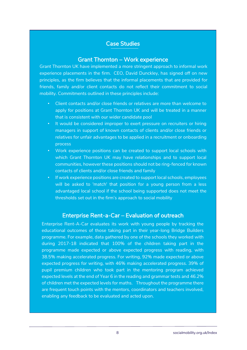#### Case Studies

#### Grant Thornton – Work experience

Grant Thornton UK have implemented a more stringent approach to informal work experience placements in the firm. CEO, David Dunckley, has signed off on new principles, as the firm believes that the informal placements that are provided for friends, family and/or client contacts do not reflect their commitment to social mobility. Commitments outlined in these principles include:

- Client contacts and/or close friends or relatives are more than welcome to apply for positions at Grant Thornton UK and will be treated in a manner that is consistent with our wider candidate pool
- It would be considered improper to exert pressure on recruiters or hiring managers in support of known contacts of clients and/or close friends or relatives for unfair advantages to be applied in a recruitment or onboarding process
- Work experience positions can be created to support local schools with which Grant Thornton UK may have relationships and to support local communities, however these positions should not be ring-fenced for known contacts of clients and/or close friends and family
- If work experience positions are created to support local schools, employees will be asked to 'match' that position for a young person from a less advantaged local school if the school being supported does not meet the thresholds set out in the firm's approach to social mobility

#### Enterprise Rent-a-Car – Evaluation of outreach

Enterprise Rent-A-Car evaluates its work with young people by tracking the educational outcomes of those taking part in their year-long Bridge Builders programme. For example, data gathered by one of the schools they worked with during 2017-18 indicated that 100% of the children taking part in the programme made expected or above expected progress with reading, with 38.5% making accelerated progress. For writing, 92% made expected or above expected progress for writing, with 46% making accelerated progress. 39% of pupil premium children who took part in the mentoring program achieved expected levels at the end of Year 6 in the reading and grammar tests and 46.2% of children met the expected levels for maths. Throughout the programme there are frequent touch points with the mentors, coordinators and teachers involved, enabling any feedback to be evaluated and acted upon.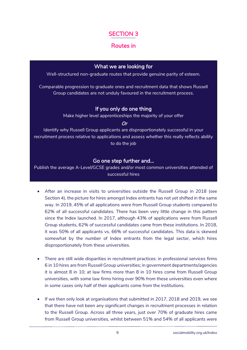## Routes in

#### What we are looking for

Well-structured non-graduate routes that provide genuine parity of esteem.

Comparable progression to graduate ones and recruitment data that shows Russell Group candidates are not unduly favoured in the recruitment process.

#### If you only do one thing

Make higher level apprenticeships the majority of your offer

#### Or

Identify why Russell Group applicants are disproportionately successful in your recruitment process relative to applications and assess whether this really reflects ability to do the job

#### Go one step further and…

Publish the average A-Level/GCSE grades and/or most common universities attended of successful hires

- After an increase in visits to universities outside the Russell Group in 2018 (see Section 4), the picture for hires amongst Index entrants has not yet shifted in the same way. In 2019, 45% of all applications were from Russell Group students compared to 62% of all successful candidates. There has been very little change in this pattern since the Index launched. In 2017, although 43% of applications were from Russell Group students, 62% of successful candidates came from these institutions. In 2018, it was 50% of all applicants vs. 66% of successful candidates. This data is skewed somewhat by the number of Index entrants from the legal sector, which hires disproportionately from these universities.
- There are still wide disparities in recruitment practices: in professional services firms 6 in 10 hires are from Russell Group universities; in government departments/agencies it is almost 8 in 10; at law firms more than 8 in 10 hires come from Russell Group universities, with some law firms hiring over 90% from these universities even where in some cases only half of their applicants come from the institutions.
- If we then only look at organisations that submitted in 2017, 2018 and 2019, we see that there have not been any significant changes in recruitment processes in relation to the Russell Group. Across all three years, just over 70% of graduate hires came from Russell Group universities, whilst between 51% and 54% of all applicants were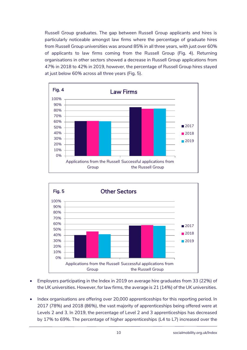Russell Group graduates. The gap between Russell Group applicants and hires is particularly noticeable amongst law firms where the percentage of graduate hires from Russell Group universities was around 85% in all three years, with just over 60% of applicants to law firms coming from the Russell Group (Fig. 4). Returning organisations in other sectors showed a decrease in Russell Group applications from 47% in 2018 to 42% in 2019, however, the percentage of Russell Group hires stayed at just below 60% across all three years (Fig. 5).





- Employers participating in the Index in 2019 on average hire graduates from 33 (22%) of the UK universities. However, for law firms, the average is 21 (14%) of the UK universities.
- Index organisations are offering over 20,000 apprenticeships for this reporting period. In 2017 (78%) and 2018 (86%), the vast majority of apprenticeships being offered were at Levels 2 and 3. In 2019, the percentage of Level 2 and 3 apprenticeships has decreased by 17% to 69%. The percentage of higher apprenticeships (L4 to L7) increased over the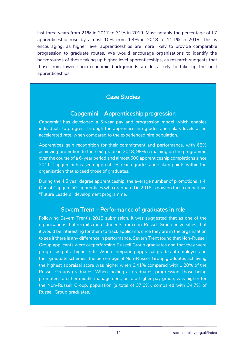last three years from 21% in 2017 to 31% in 2019. Most notably the percentage of L7 apprenticeship rose by almost 10% from 1.4% in 2018 to 11.1% in 2019. This is encouraging, as higher level apprenticeships are more likely to provide comparable progression to graduate routes. We would encourage organisations to identify the backgrounds of those taking up higher-level apprenticeships, as research suggests that those from lower socio-economic backgrounds are less likely to take up the best apprenticeships.

#### Case Studies

### Capgemini – Apprenticeship progression

Capgemini has developed a 5-year pay and progression model which enables individuals to progress through the apprenticeship grades and salary levels at an accelerated rate, when compared to the experienced hire population.

Apprentices gain recognition for their commitment and performance, with 68% achieving promotion to the next grade in 2018, 98% remaining on the programme over the course of a 6-year period and almost 500 apprenticeship completions since 2011. Capgemini has seen apprentices reach grades and salary points within the organisation that exceed those of graduates.

During the 4.5 year degree apprenticeship, the average number of promotions is 4. One of Capgemini's apprentices who graduated in 2018 is now on their competitive "Future Leaders" development programme.

#### Severn Trent – Performance of graduates in role

Following Severn Trent's 2018 submission, it was suggested that as one of the organisations that recruits more students from non-Russell Group universities, that it would be interesting for them to track applicants once they are in the organisation to see if there is any difference in performance. Severn Trent found that Non-Russell Group applicants were outperforming Russell Group graduates and that they were progressing at a higher rate. When comparing appraisal grades of employees on their graduate schemes, the percentage of Non-Russell Group graduates achieving the highest appraisal score was higher when 6.41% compared with 1.28% of the Russell Groups graduates. When looking at graduates' progression, those being promoted to either middle management, or to a higher pay grade, was higher for the Non-Russell Group, population (a total of 37.6%), compared with 34.7% of Russell Group graduates.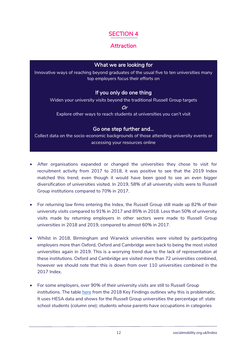# Attraction

#### What we are looking for

Innovative ways of reaching beyond graduates of the usual five to ten universities many top employers focus their efforts on

#### If you only do one thing

Widen your university visits beyond the traditional Russell Group targets

Or

Explore other ways to reach students at universities you can't visit

#### Go one step further and…

Collect data on the socio-economic backgrounds of those attending university events or accessing your resources online

- After organisations expanded or changed the universities they chose to visit for recruitment activity from 2017 to 2018, it was positive to see that the 2019 Index matched this trend; even though it would have been good to see an even bigger diversification of universities visited. In 2019, 58% of all university visits were to Russell Group institutions compared to 70% in 2017.
- For returning law firms entering the Index, the Russell Group still made up 82% of their university visits compared to 91% in 2017 and 85% in 2018. Less than 50% of university visits made by returning employers in other sectors were made to Russell Group universities in 2018 and 2019, compared to almost 60% in 2017.
- Whilst in 2018, Birmingham and Warwick universities were visited by participating employers more than Oxford, Oxford and Cambridge were back to being the most visited universities again in 2019. This is a worrying trend due to the lack of representation at these institutions. Oxford and Cambridge are visited more than 72 universities combined, however we should note that this is down from over 110 universities combined in the 2017 Index.
- For some employers, over 90% of their university visits are still to Russell Group institutions. The table [here](https://www.socialmobility.org.uk/wp-content/uploads/2020/01/SMI-2018-HESA.pdf) from the 2018 Key Findings outlines why this is problematic. It uses HESA data and shows for the Russell Group universities the percentage of: state school students (column one); students whose parents have occupations in categories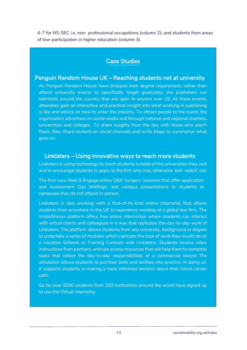4-7 for NS-SEC i.e. non- professional occupations (column 2); and students from areas of low-participation in higher education (column 3).

#### Case Studies

#### Penguin Random House UK – Reaching students not at university

As Penguin Random House have dropped their degree requirement, rather than attend university events to specifically target graduates, the publishers run JobHacks around the country that are open to anyone over 16. At these events, attendees gain an interactive and practical insight into what working in publishing is like and advice on how to enter the industry. To attract people to the event, the organisation advertises on social media and through national and regional charities, universities and colleges. To share insights from the day with those who aren't there, they share content on social channels and write blogs to summarise what goes on.

#### Linklaters – Using innovative ways to reach more students

Linklaters is using technology to reach students outside of the universities they visit and to encourage students to apply to the firm who may otherwise 'self –select' out.

The firm runs Meet & Engage online Q&A 'surgery' sessions that offer application and Assessment Day briefings, and campus presentations to students at campuses they do not attend in-person.

Linklaters is also working with a first-of-its-kind online internship that allows students from anywhere in the UK to experience working at a global law firm. The InsideSherpa platform offers free online internships where students can interact with virtual clients and colleagues in a way that replicates the day-to-day work of Linklaters. The platform allows students from any university, background or degree to undertake a series of modules which replicate the type of work they would do on a Vacation Scheme or Training Contract with Linklaters. Students receive video instructions from partners, and can access resources that will help them to complete tasks that reflect the day-to-day responsibilities of a commercial lawyer. The simulation allows students to put their skills and abilities into practice. In doing so, it supports students in making a more informed decision about their future career path.

So far over 5000 students from 330 institutions around the world have signed up to use the Virtual Internship.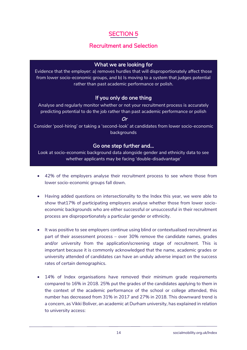# Recruitment and Selection

#### What we are looking for

Evidence that the employer: a) removes hurdles that will disproportionately affect those from lower socio-economic groups, and b) Is moving to a system that judges potential rather than past academic performance or polish.

#### If you only do one thing

Analyse and regularly monitor whether or not your recruitment process is accurately predicting potential to do the job rather than past academic performance or polish

#### Or

Consider 'pool-hiring' or taking a 'second-look' at candidates from lower socio-economic backgrounds

#### Go one step further and…

Look at socio-economic background data alongside gender and ethnicity data to see whether applicants may be facing 'double-disadvantage'

- 42% of the employers analyse their recruitment process to see where those from lower socio-economic groups fall down.
- Having added questions on intersectionality to the Index this year, we were able to show that17% of participating employers analyse whether those from lower socioeconomic backgrounds who are either successful or unsuccessful in their recruitment process are disproportionately a particular gender or ethnicity.
- It was positive to see employers continue using blind or contextualised recruitment as part of their assessment process – over 30% remove the candidate names, grades and/or university from the application/screening stage of recruitment. This is important because it is commonly acknowledged that the name, academic grades or university attended of candidates can have an unduly adverse impact on the success rates of certain demographics.
- 14% of Index organisations have removed their minimum grade requirements compared to 16% in 2018. 25% put the grades of the candidates applying to them in the context of the academic performance of the school or college attended, this number has decreased from 31% in 2017 and 27% in 2018. This downward trend is a concern, as Vikki Boliver, an academic at Durham university, has explained in relation to university access: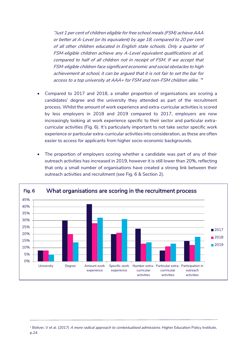"Just 1 per cent of children eligible for free school meals (FSM) achieve AAA or better at A-Level (or its equivalent) by age 18, compared to 20 per cent of all other children educated in English state schools. Only a quarter of FSM-eligible children achieve any A-Level equivalent qualifications at all, compared to half of all children not in receipt of FSM. If we accept that FSM-eligible children face significant economic and social obstacles to high achievement at school, it can be argued that it is not fair to set the bar for access to a top university at AAA+ for FSM and non-FSM children alike. " 1

- Compared to 2017 and 2018, a smaller proportion of organisations are scoring a candidates' degree and the university they attended as part of the recruitment process. Whilst the amount of work experience and extra-curricular activities is scored by less employers in 2018 and 2019 compared to 2017, employers are now increasingly looking at work experience specific to their sector and particular extracurricular activities (Fig. 6). It's particularly important to not take sector specific work experience or particular extra-curricular activities into consideration, as these are often easier to access for applicants from higher socio-economic backgrounds.
- The proportion of employers scoring whether a candidate was part of any of their outreach activities has increased in 2019, however it is still lower than 20%, reflecting that only a small number of organisations have created a strong link between their outreach activities and recruitment (see Fig. 6 & Section 2).



 $1$  Boliver, V et al. (2017) A more radical approach to contextualised admissions. Higher Education Policy Institute, p.24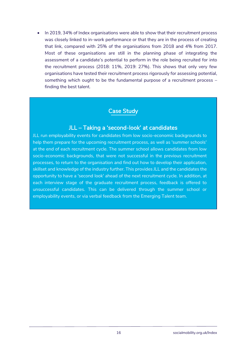In 2019, 34% of Index organisations were able to show that their recruitment process was closely linked to in-work performance or that they are in the process of creating that link, compared with 25% of the organisations from 2018 and 4% from 2017. Most of these organisations are still in the planning phase of integrating the assessment of a candidate's potential to perform in the role being recruited for into the recruitment process (2018: 11%, 2019: 27%). This shows that only very few organisations have tested their recruitment process rigorously for assessing potential, something which ought to be the fundamental purpose of a recruitment process – finding the best talent.

### Case Study

#### JLL – Taking a 'second-look' at candidates

JLL run employability events for candidates from low socio-economic backgrounds to help them prepare for the upcoming recruitment process, as well as 'summer schools' at the end of each recruitment cycle. The summer school allows candidates from low socio-economic backgrounds, that were not successful in the previous recruitment processes, to return to the organisation and find out how to develop their application, skillset and knowledge of the industry further. This provides JLL and the candidates the opportunity to have a 'second look' ahead of the next recruitment cycle. In addition, at each interview stage of the graduate recruitment process, feedback is offered to unsuccessful candidates. This can be delivered through the summer school or employability events, or via verbal feedback from the Emerging Talent team.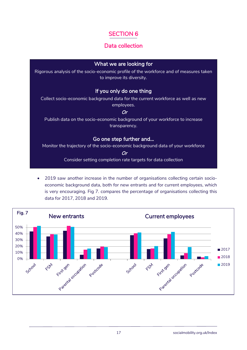# Data collection

#### What we are looking for

Rigorous analysis of the socio-economic profile of the workforce and of measures taken to improve its diversity.

#### If you only do one thing

Collect socio-economic background data for the current workforce as well as new employees.

#### Or

Publish data on the socio-economic background of your workforce to increase transparency.

#### Go one step further and…

Monitor the trajectory of the socio-economic background data of your workforce

Or

Consider setting completion rate targets for data collection

 2019 saw another increase in the number of organisations collecting certain socioeconomic background data, both for new entrants and for current employees, which is very encouraging. Fig 7. compares the percentage of organisations collecting this data for 2017, 2018 and 2019.

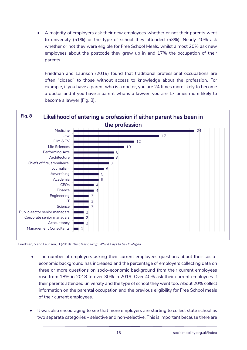A majority of employers ask their new employees whether or not their parents went to university (51%) or the type of school they attended (53%). Nearly 40% ask whether or not they were eligible for Free School Meals, whilst almost 20% ask new employees about the postcode they grew up in and 17% the occupation of their parents.

Friedman and Laurison (2019) found that traditional professional occupations are often "closed" to those without access to knowledge about the profession. For example, if you have a parent who is a doctor, you are 24 times more likely to become a doctor and if you have a parent who is a lawyer, you are 17 times more likely to become a lawyer (Fig. 8).



Friedman, S and Laurison, D (2019) The Class Ceiling: Why it Pays to be Privileged

- The number of employers asking their current employees questions about their socioeconomic background has increased and the percentage of employers collecting data on three or more questions on socio-economic background from their current employees rose from 18% in 2018 to over 30% in 2019. Over 40% ask their current employees if their parents attended university and the type of school they went too. About 20% collect information on the parental occupation and the previous eligibility for Free School meals of their current employees.
- It was also encouraging to see that more employers are starting to collect state school as two separate categories – selective and non-selective. This is important because there are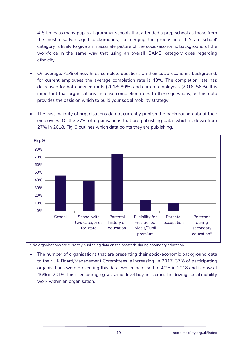4-5 times as many pupils at grammar schools that attended a prep school as those from the most disadvantaged backgrounds, so merging the groups into 1 'state school' category is likely to give an inaccurate picture of the socio-economic background of the workforce in the same way that using an overall 'BAME' category does regarding ethnicity.

- On average, 72% of new hires complete questions on their socio-economic background; for current employees the average completion rate is 48%. The completion rate has decreased for both new entrants (2018: 80%) and current employees (2018: 58%). It is important that organisations increase completion rates to these questions, as this data provides the basis on which to build your social mobility strategy.
- The vast majority of organisations do not currently publish the background data of their employees. Of the 22% of organisations that are publishing data, which is down from 27% in 2018, Fig. 9 outlines which data points they are publishing.



\* No organisations are currently publishing data on the postcode during secondary education.

 The number of organisations that are presenting their socio-economic background data to their UK Board/Management Committees is increasing. In 2017, 37% of participating organisations were presenting this data, which increased to 40% in 2018 and is now at 46% in 2019. This is encouraging, as senior level buy-in is crucial in driving social mobility work within an organisation.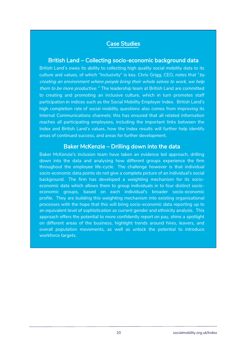#### Case Studies

#### British Land – Collecting socio-economic background data

British Land's owes its ability to collecting high quality social mobility data to its culture and values, of which "Inclusivity" is key. Chris Grigg, CEO, notes that " $by$ creating an environment where people bring their whole selves to work, we help them to be more productive." The leadership team at British Land are committed to creating and promoting an inclusive culture, which in turn promotes staff participation in indices such as the Social Mobility Employer Index. British Land's high completion rate of social mobility questions also comes from improving its Internal Communications channels; this has ensured that all related information reaches all participating employees, including the important links between the Index and British Land's values, how the Index results will further help identify areas of continued success, and areas for further development.

#### Baker McKenzie – Drilling down into the data

Baker McKenzie's inclusion team have taken an evidence led approach, drilling down into the data and analysing how different groups experience the firm throughout the employee life-cycle. The challenge however is that individual socio-economic data points do not give a complete picture of an individual's social background. The firm has developed a weighting mechanism for its socioeconomic data which allows them to group individuals in to four distinct socioeconomic groups, based on each individual's broader socio-economic profile. They are building this weighting mechanism into existing organisational processes with the hope that this will bring socio-economic data reporting up to an equivalent level of sophistication as current gender and ethnicity analysis. This approach offers the potential to more confidently report on pay, shine a spotlight on different areas of the business, highlight trends around hires, leavers, and overall population movements, as well as unlock the potential to introduce workforce targets.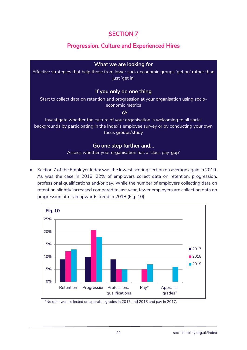# Progression, Culture and Experienced Hires

#### What we are looking for

Effective strategies that help those from lower socio-economic groups 'get on' rather than just 'get in'

#### If you only do one thing

Start to collect data on retention and progression at your organisation using socioeconomic metrics

#### Or

Investigate whether the culture of your organisation is welcoming to all social backgrounds by participating in the Index's employee survey or by conducting your own focus groups/study

#### Go one step further and…

Assess whether your organisation has a 'class pay-gap'

 Section 7 of the Employer Index was the lowest scoring section on average again in 2019. As was the case in 2018, 22% of employers collect data on retention, progression, professional qualifications and/or pay. While the number of employers collecting data on retention slightly increased compared to last year, fewer employers are collecting data on progression after an upwards trend in 2018 (Fig. 10).



\*No data was collected on appraisal grades in 2017 and 2018 and pay in 2017.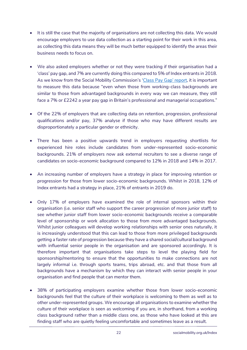- It is still the case that the majority of organisations are not collecting this data. We would encourage employers to use data collection as a starting point for their work in this area, as collecting this data means they will be much better equipped to identify the areas their business needs to focus on.
- We also asked employers whether or not they were tracking if their organisation had a 'class' pay gap, and 7% are currently doing this compared to 5% of Index entrants in 2018. As we know from the Social Mobility Commission's '[Class Pay G](https://assets.publishing.service.gov.uk/government/uploads/system/uploads/attachment_data/file/596945/The_class_pay_gap_and_intergenerational_worklessness.pdf)ap' report, it is important to measure this data because "even when those from working-class backgrounds are similar to those from advantaged backgrounds in every way we can measure, they still face a 7% or £2242 a year pay gap in Britain's professional and managerial occupations."
- Of the 22% of employers that are collecting data on retention, progression, professional qualifications and/or pay, 37% analyse if those who may have different results are disproportionately a particular gender or ethnicity.
- There has been a positive upwards trend in employers requesting shortlists for experienced hire roles include candidates from under-represented socio-economic backgrounds. 21% of employers now ask external recruiters to see a diverse range of candidates on socio-economic background compared to 12% in 2018 and 14% in 2017.
- An increasing number of employers have a strategy in place for improving retention or progression for those from lower socio-economic backgrounds. Whilst in 2018, 12% of Index entrants had a strategy in place, 21% of entrants in 2019 do.
- Only 17% of employers have examined the role of internal sponsors within their organisation (i.e. senior staff who support the career progression of more junior staff) to see whether junior staff from lower socio-economic backgrounds receive a comparable level of sponsorship or work allocation to those from more advantaged backgrounds. Whilst junior colleagues will develop working relationships with senior ones naturally, it is increasingly understood that this can lead to those from more privileged backgrounds getting a faster rate of progression because they have a shared social/cultural background with influential senior people in the organisation and are sponsored accordingly. It is therefore important that organisations take steps to level the playing field for sponsorship/mentoring to ensure that the opportunities to make connections are not largely informal i.e. through sports teams, trips abroad, etc. and that those from all backgrounds have a mechanism by which they can interact with senior people in your organisation and find people that can mentor them.
- 38% of participating employers examine whether those from lower socio-economic backgrounds feel that the culture of their workplace is welcoming to them as well as to other under-represented groups. We encourage all organisations to examine whether the culture of their workplace is seen as welcoming if you are, in shorthand, from a working class background rather than a middle class one, as those who have looked at this are finding staff who are quietly feeling uncomfortable and sometimes leave as a result.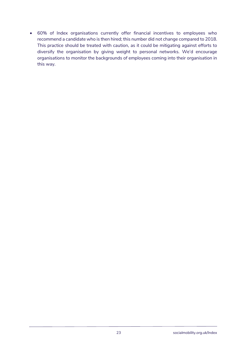60% of Index organisations currently offer financial incentives to employees who recommend a candidate who is then hired; this number did not change compared to 2018. This practice should be treated with caution, as it could be mitigating against efforts to diversify the organisation by giving weight to personal networks. We'd encourage organisations to monitor the backgrounds of employees coming into their organisation in this way.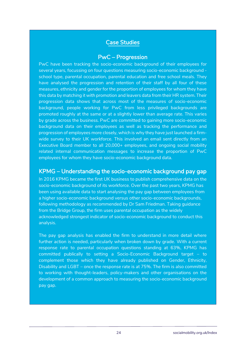### Case Studies

#### PwC – Progression

PwC have been tracking the socio-economic background of their employees for several years, focussing on four questions measuring socio-economic background school type, parental occupation, parental education and free school meals. They have analysed the progression and retention of their staff by all four of these measures, ethnicity and gender for the proportion of employees for whom they have this data by matching it with promotion and leavers data from their HR system. Their progression data shows that across most of the measures of socio-economic background, people working for PwC from less privileged backgrounds are promoted roughly at the same or at a slightly lower than average rate. This varies by grade across the business. PwC are committed to gaining more socio-economic background data on their employees as well as tracking the performance and progression of employees more closely, which is why they have just launched a firmwide survey to their UK workforce. This involved an email sent directly from an Executive Board member to all 20,000+ employees, and ongoing social mobility related internal communication messages to increase the proportion of PwC employees for whom they have socio-economic background data.

#### KPMG – Understanding the socio-economic background pay gap

In 2016 KPMG became the first UK business to publish comprehensive data on the socio-economic background of its workforce. Over the past two years, KPMG has been using available data to start analysing the pay gap between employees from a higher socio-economic background versus other socio-economic backgrounds, following methodology as recommended by Dr Sam Friedman. Taking guidance from the Bridge Group, the firm uses parental occupation as the widely acknowledged strongest indicator of socio-economic background to conduct this analysis.

The pay gap analysis has enabled the firm to understand in more detail where further action is needed, particularly when broken down by grade. With a current response rate to parental occupation questions standing at 63%, KPMG has committed publically to setting a Socio-Economic Background target – to complement those which they have already published on Gender, Ethnicity, Disability and LGBT – once the response rate is at 75%. The firm is also committed to working with thought-leaders, policy-makers and other organisations on the development of a common approach to measuring the socio-economic background pay gap.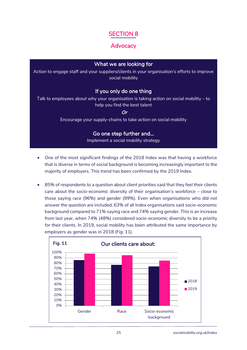#### **Advocacy**

#### What we are looking for

Action to engage staff and your suppliers/clients in your organisation's efforts to improve social mobility

#### If you only do one thing

Talk to employees about why your organisation is taking action on social mobility – to help you find the best talent

Or

Encourage your supply-chains to take action on social mobility

#### Go one step further and…

Implement a social mobility strategy

- One of the most significant findings of the 2018 Index was that having a workforce that is diverse in terms of social background is becoming increasingly important to the majority of employers. This trend has been confirmed by the 2019 Index.
- 85% of respondents to a question about client priorities said that they feel their clients care about the socio-economic diversity of their organisation's workforce – close to those saying race (96%) and gender (99%). Even when organisations who did not answer the question are included, 63% of all Index organisations said socio-economic background compared to 71% saying race and 74% saying gender. This is an increase from last year, when 74% (48%) considered socio-economic diversity to be a priority for their clients. In 2019, social mobility has been attributed the same importance by employers as gender was in 2018 (Fig. 11).

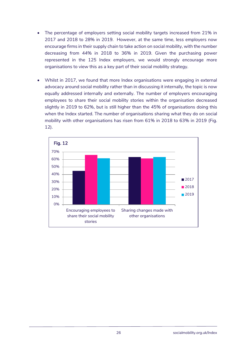- The percentage of employers setting social mobility targets increased from 21% in 2017 and 2018 to 28% in 2019. However, at the same time, less employers now encourage firms in their supply chain to take action on social mobility, with the number decreasing from 44% in 2018 to 36% in 2019. Given the purchasing power represented in the 125 Index employers, we would strongly encourage more organisations to view this as a key part of their social mobility strategy.
- Whilst in 2017, we found that more Index organisations were engaging in external advocacy around social mobility rather than in discussing it internally, the topic is now equally addressed internally and externally. The number of employers encouraging employees to share their social mobility stories within the organisation decreased slightly in 2019 to 62%, but is still higher than the 45% of organisations doing this when the Index started. The number of organisations sharing what they do on social mobility with other organisations has risen from 61% in 2018 to 63% in 2019 (Fig. 12).

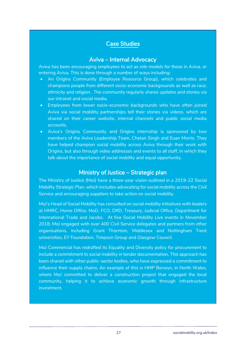#### Case Studies

#### Aviva – Internal Advocacy

Aviva has been encouraging employees to act as role models for those in Aviva, or entering Aviva. This is done through a number of ways including:

- An Origins Community (Employee Resource Group), which celebrates and champions people from different socio-economic backgrounds as well as race, ethnicity and religion. The community regularly shares updates and stories via our intranet and social media.
- Employees from lower socio-economic backgrounds who have often joined Aviva via social mobility partnerships tell their stories via videos, which are shared on their career website, internal channels and public social media accounts.
- Aviva's Origins Community and Origins internship is sponsored by two members of the Aviva Leadership Team, Chetan Singh and Euan Morris. They have helped champion social mobility across Aviva through their work with Origins, but also through video addresses and events to all staff, in which they talk about the importance of social mobility and equal opportunity.

#### Ministry of Justice – Strategic plan

The Ministry of Justice (MoJ) have a three-year vision outlined in a 2019-22 Social Mobility Strategic Plan, which includes advocating for social mobility across the Civil Service and encouraging suppliers to take action on social mobility.

MoJ's Head of Social Mobility has consulted on social mobility initiatives with leaders at HMRC, Home Office, MoD, FCO, DfID, Treasury, Judicial Office, Department for International Trade and Jacobs. At five Social Mobility Live events in November 2018, MoJ engaged with over 400 Civil Service delegates and partners from other organisations, including Grant Thornton, Middlesex and Nottingham Trent universities, EY Foundation, Timpson Group and Glasgow Council.

MoJ Commercial has redrafted its Equality and Diversity policy for procurement to include a commitment to social mobility in tender documentation. This approach has been shared with other public-sector bodies, who have expressed a commitment to influence their supply chains. An example of this is HMP Berwyn, in North Wales, where MoJ committed to deliver a construction project that engaged the local community, helping it to achieve economic growth through infrastructure investment.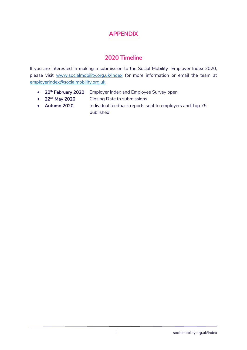# APPENDIX

# 2020 Timeline

If you are interested in making a submission to the Social Mobility Employer Index 2020, please visit [www.socialmobility.org.uk/Index](http://www.socialmobility.org.uk/Index) for more information or email the team at [employerindex@socialmobility.org.uk.](mailto:employerindex@socialmobility.org.uk)

- $20<sup>th</sup>$  February 2020 Employer Index and Employee Survey open
- $22<sup>nd</sup>$  May 2020 Closing Date to submissions
- Autumn 2020 Individual feedback reports sent to employers and Top 75 published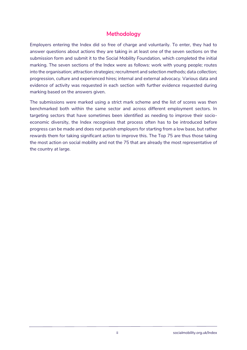## **Methodology**

Employers entering the Index did so free of charge and voluntarily. To enter, they had to answer questions about actions they are taking in at least one of the seven sections on the submission form and submit it to the Social Mobility Foundation, which completed the initial marking. The seven sections of the Index were as follows: work with young people; routes into the organisation; attraction strategies; recruitment and selection methods; data collection; progression, culture and experienced hires; internal and external advocacy. Various data and evidence of activity was requested in each section with further evidence requested during marking based on the answers given.

The submissions were marked using a strict mark scheme and the list of scores was then benchmarked both within the same sector and across different employment sectors. In targeting sectors that have sometimes been identified as needing to improve their socioeconomic diversity, the Index recognises that process often has to be introduced before progress can be made and does not punish employers for starting from a low base, but rather rewards them for taking significant action to improve this. The Top 75 are thus those taking the most action on social mobility and not the 75 that are already the most representative of the country at large.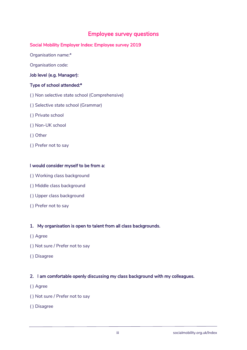### Employee survey questions

#### Social Mobility Employer Index: Employee survey 2019

Organisation name:\*

Organisation code:

#### Job level (e.g. Manager):

#### Type of school attended:\*

- ( ) Non selective state school (Comprehensive)
- ( ) Selective state school (Grammar)
- ( ) Private school
- ( ) Non-UK school
- ( ) Other
- ( ) Prefer not to say

#### I would consider myself to be from a:

- ( ) Working class background
- ( ) Middle class background
- ( ) Upper class background
- ( ) Prefer not to say

#### 1. My organisation is open to talent from all class backgrounds.

- ( ) Agree
- ( ) Not sure / Prefer not to say
- ( ) Disagree

#### 2. I am comfortable openly discussing my class background with my colleagues.

- ( ) Agree
- ( ) Not sure / Prefer not to say
- ( ) Disagree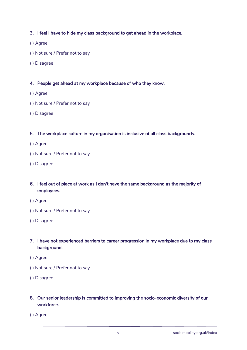#### 3. I feel I have to hide my class background to get ahead in the workplace.

- ( ) Agree
- ( ) Not sure / Prefer not to say
- ( ) Disagree

#### 4. People get ahead at my workplace because of who they know.

- ( ) Agree
- ( ) Not sure / Prefer not to say
- ( ) Disagree

#### 5. The workplace culture in my organisation is inclusive of all class backgrounds.

- ( ) Agree
- ( ) Not sure / Prefer not to say
- ( ) Disagree

#### 6. I feel out of place at work as I don't have the same background as the majority of employees.

- ( ) Agree
- ( ) Not sure / Prefer not to say
- ( ) Disagree

#### 7. I have not experienced barriers to career progression in my workplace due to my class background.

- ( ) Agree
- ( ) Not sure / Prefer not to say
- ( ) Disagree

#### 8. Our senior leadership is committed to improving the socio-economic diversity of our workforce.

( ) Agree